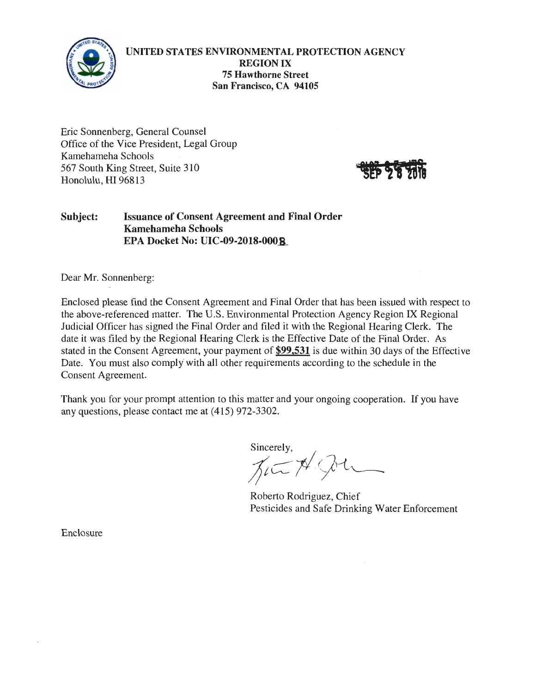

**UNITED STATES ENVIRONMENTAL PROTECTION AGENCY REGION IX 75 Hawthorne Street San Francisco, CA 94105** 

Eric Sonnenberg, General Counsel Office of the Vice President, Legal Group Kamehameha Schools 567 South King Street, Suite 310 Honolulu, HI 96813



## **Subject: Issuance of Consent Agreement and Final Order Kamehameha Schools EPA Docket No: UIC-09-2018-000\_8\_**

Dear Mr. Sonnenberg:

Enclosed please find the Consent Agreement and Final Order that has been issued with respect to the above-referenced matter. The U.S. Environmental Protection Agency Region IX Regional Judicial Officer has signed the Final Order and filed it with the Regional Hearing Clerk. The date it was filed by the Regional Hearing Clerk is the Effective Date of the Final Order. As stated in the Consent Agreement, your payment of **\$99,531** is due within 30 days of the Effective Date. You must also comply with all other requirements according to the schedule in the Consent Agreement.

Thank you for your prompt attention to this matter and your ongoing cooperation. If you have any questions, please contact me at (415) 972-3302.

Sincerely,

 $\chi\subset\cancel{\pi}$ 

Roberto Rodriguez, Chief Pesticides and Safe Drinking Water Enforcement

Enclosure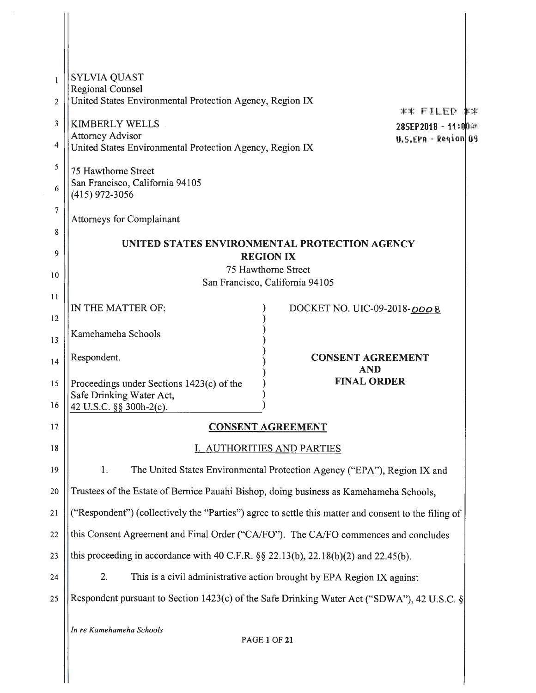| 1  | <b>SYLVIA QUAST</b><br><b>Regional Counsel</b>                                              |                                                                                                      |
|----|---------------------------------------------------------------------------------------------|------------------------------------------------------------------------------------------------------|
| 2  | United States Environmental Protection Agency, Region IX                                    | ** EILED **                                                                                          |
| 3  | <b>KIMBERLY WELLS</b>                                                                       | 28SEP2018 - 11:00 AM                                                                                 |
| 4  | <b>Attorney Advisor</b><br>United States Environmental Protection Agency, Region IX         | $0.5.EPA - Region   09$                                                                              |
| 5  | 75 Hawthorne Street                                                                         |                                                                                                      |
| 6  | San Francisco, California 94105<br>(415) 972-3056                                           |                                                                                                      |
| 7  | <b>Attorneys for Complainant</b>                                                            |                                                                                                      |
| 8  |                                                                                             |                                                                                                      |
| 9  |                                                                                             | UNITED STATES ENVIRONMENTAL PROTECTION AGENCY                                                        |
|    |                                                                                             | <b>REGION IX</b><br>75 Hawthorne Street                                                              |
| 10 |                                                                                             | San Francisco, California 94105                                                                      |
| 11 | IN THE MATTER OF:                                                                           | DOCKET NO. UIC-09-2018-0008                                                                          |
| 12 |                                                                                             |                                                                                                      |
| 13 | Kamehameha Schools                                                                          |                                                                                                      |
| 14 | Respondent.                                                                                 | <b>CONSENT AGREEMENT</b><br><b>AND</b>                                                               |
| 15 | Proceedings under Sections 1423(c) of the<br>Safe Drinking Water Act,                       | <b>FINAL ORDER</b>                                                                                   |
| 16 | 42 U.S.C. §§ 300h-2(c).                                                                     |                                                                                                      |
| 17 |                                                                                             | <b>CONSENT AGREEMENT</b>                                                                             |
| 18 |                                                                                             | <b>AUTHORITIES AND PARTIES</b>                                                                       |
| 19 | 1.                                                                                          | The United States Environmental Protection Agency ("EPA"), Region IX and                             |
| 20 | Trustees of the Estate of Bernice Pauahi Bishop, doing business as Kamehameha Schools,      |                                                                                                      |
| 21 |                                                                                             | ("Respondent") (collectively the "Parties") agree to settle this matter and consent to the filing of |
| 22 |                                                                                             | this Consent Agreement and Final Order ("CA/FO"). The CA/FO commences and concludes                  |
| 23 | this proceeding in accordance with 40 C.F.R. $\S$ § 22.13(b), 22.18(b)(2) and 22.45(b).     |                                                                                                      |
| 24 | 2.                                                                                          | This is a civil administrative action brought by EPA Region IX against                               |
| 25 | Respondent pursuant to Section 1423(c) of the Safe Drinking Water Act ("SDWA"), 42 U.S.C. § |                                                                                                      |
|    | In re Kamehameha Schools                                                                    | <b>PAGE 1 OF 21</b>                                                                                  |

II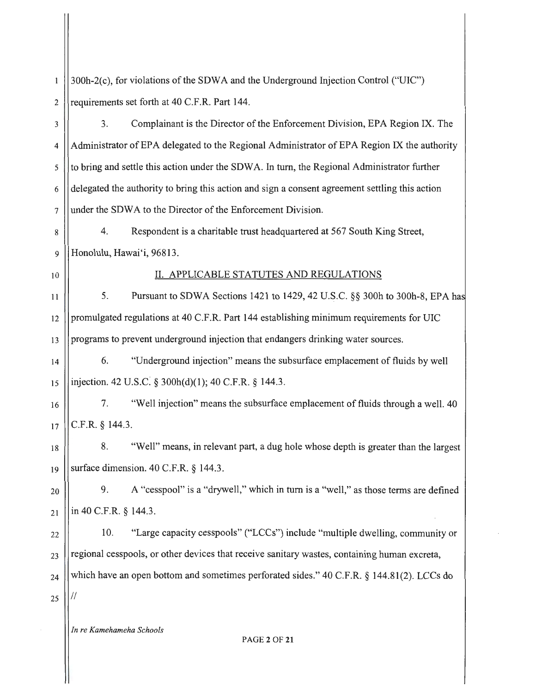| 1  | 300h-2(c), for violations of the SDWA and the Underground Injection Control ("UIC")            |
|----|------------------------------------------------------------------------------------------------|
| 2  | requirements set forth at 40 C.F.R. Part 144.                                                  |
| 3  | Complainant is the Director of the Enforcement Division, EPA Region IX. The<br>3.              |
| 4  | Administrator of EPA delegated to the Regional Administrator of EPA Region IX the authority    |
| 5  | to bring and settle this action under the SDWA. In turn, the Regional Administrator further    |
| 6  | delegated the authority to bring this action and sign a consent agreement settling this action |
| 7  | under the SDWA to the Director of the Enforcement Division.                                    |
| 8  | Respondent is a charitable trust headquartered at 567 South King Street,<br>4.                 |
| 9  | Honolulu, Hawai'i, 96813.                                                                      |
| 10 | II. APPLICABLE STATUTES AND REGULATIONS                                                        |
| 11 | Pursuant to SDWA Sections 1421 to 1429, 42 U.S.C. §§ 300h to 300h-8, EPA has<br>5.             |
| 12 | promulgated regulations at 40 C.F.R. Part 144 establishing minimum requirements for UIC        |
| 13 | programs to prevent underground injection that endangers drinking water sources.               |
| 14 | "Underground injection" means the subsurface emplacement of fluids by well<br>6.               |
| 15 | injection. 42 U.S.C. § 300h(d)(1); 40 C.F.R. § 144.3.                                          |
| 16 | "Well injection" means the subsurface emplacement of fluids through a well. 40<br>7.           |
| 17 | C.F.R. § 144.3.                                                                                |
| 18 | "Well" means, in relevant part, a dug hole whose depth is greater than the largest<br>8.       |
| 19 | surface dimension. 40 C.F.R. § 144.3.                                                          |
| 20 | A "cesspool" is a "drywell," which in turn is a "well," as those terms are defined<br>9.       |
| 21 | in 40 C.F.R. § 144.3.                                                                          |
| 22 | "Large capacity cesspools" ("LCCs") include "multiple dwelling, community or<br>10.            |
| 23 | regional cesspools, or other devices that receive sanitary wastes, containing human excreta,   |
| 24 | which have an open bottom and sometimes perforated sides." 40 C.F.R. § 144.81(2). LCCs do      |
| 25 |                                                                                                |
|    | In re Kamehameha Schools                                                                       |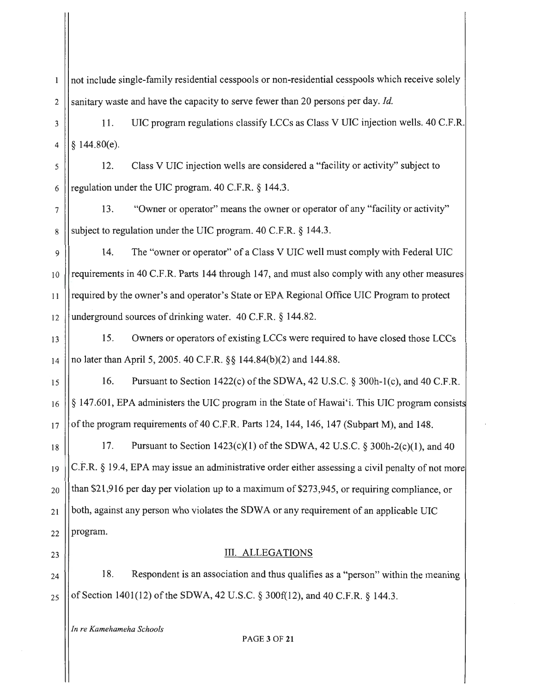not include single-family residential cesspools or non-residential cesspools which receive solely  $\mathbf{1}$ 2 Sanitary waste and have the capacity to serve fewer than 20 persons per day. *Id.* 

3 | 11. UIC program regulations classify LCCs as Class V UIC injection wells. 40 C.F.R. 4  $\frac{1}{2}$  144.80(e).

*5* 12. Class V UIC injection wells are considered a "facility or activity" subject to 6 || regulation under the UIC program.  $40 \text{ C.F.R.}$  § 144.3.

7 13. "Owner or operator" means the owner or operator of any "facility or activity" 8 Subject to regulation under the UIC program. 40 C.F.R.  $\S$  144.3.

<sup>9</sup>14. The "owner or operator" of a Class V UIC well must comply with Federal UIC 10 requirements in 40 C.F.R. Parts 144 through 147, and must also comply with any other measures  $_{11}$   $\parallel$  required by the owner's and operator's State or EPA Regional Office UIC Program to protect 12 || underground sources of drinking water.  $40 \text{ C.F.R.}$  § 144.82.

13 15. Owners or operators of existing LCCs were required to have closed those LCCs 14 | no later than April 5, 2005. 40 C.F.R.  $\S$  144.84(b)(2) and 144.88.

15  $||$  16. Pursuant to Section 1422(c) of the SDWA, 42 U.S.C. § 300h-1(c), and 40 C.F.R.  $16$   $||\S$  147.601, EPA administers the UIC program in the State of Hawai'i. This UIC program consists  $17$  || of the program requirements of 40 C.F.R. Parts 124, 144, 146, 147 (Subpart M), and 148.

18 | 17. Pursuant to Section  $1423(c)(1)$  of the SDWA, 42 U.S.C. § 300h-2(c)(1), and 40  $_{19}$  C.F.R. § 19.4, EPA may issue an administrative order either assessing a civil penalty of not more  $_{20}$  ||than \$21,916 per day per violation up to a maximum of \$273,945, or requiring compliance, or  $_{21}$  ||both, against any person who violates the SDWA or any requirement of an applicable UIC  $_{22}$  ||program.

23 || III. ALLEGATIONS

 $24$  || 18. Respondent is an association and thus qualifies as a "person" within the meaning  $_{25}$  || of Section 1401(12) of the SDWA, 42 U.S.C. § 300f(12), and 40 C.F.R. § 144.3.

*In re Kamehameha Schools* 

PAGE3 OF **21**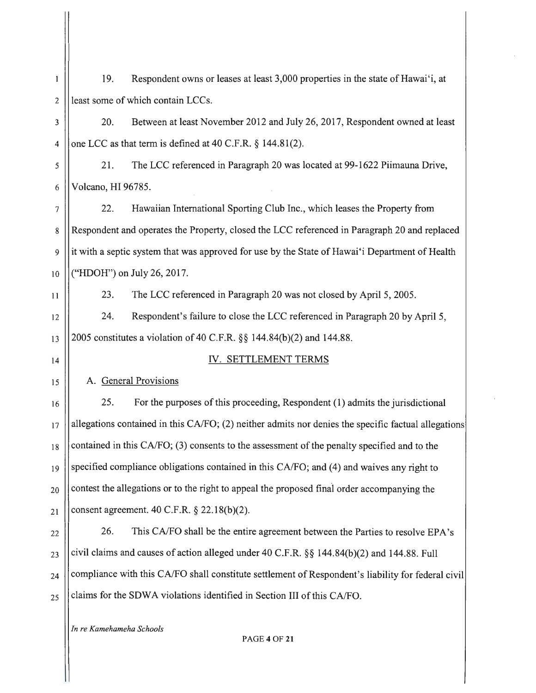2 least some of which contain LCCs. 3 20. Between at least November 2012 and July 26, 2017, Respondent owned at least 4 | | one LCC as that term is defined at 40 C.F.R.  $\S$  144.81(2). 5 21 . The LCC referenced in Paragraph 20 was located at 99-1622 Piimauna Drive, 6 Volcano, HI 96785. 7 22. Hawaiian International Sporting Club Inc., which leases the Property from 8 Respondent and operates the Property, closed the LCC referenced in Paragraph 20 and replaced 9 it with a septic system that was approved for use by the State of Hawai'i Department of Health 10 ("HDOH") on July 26, 2017. 11  $\vert$  23. The LCC referenced in Paragraph 20 was not closed by April 5, 2005. 12 24. Respondent's failure to close the LCC referenced in Paragraph 20 by April 5, 13  $||2005$  constitutes a violation of 40 C.F.R. §§ 144.84(b)(2) and 144.88. 14 || IV. SETTLEMENT TERMS 15 | A. General Provisions 16 17 18 19 20 21 22 23 24 25 25. For the purposes of this proceeding, Respondent (1) admits the jurisdictional allegations contained in this CA/FO; (2) neither admits nor denies the specific factual allegations contained in this CA/FO; (3) consents to the assessment of the penalty specified and to the specified compliance obligations contained in this CA/FO; and (4) and waives any right to contest the allegations or to the right to appeal the proposed final order accompanying the consent agreement. 40 C.F.R. § 22: 18(b)(2). 26. This CA/FO shall be the entire agreement between the Parties to resolve EPA's civil claims and causes of action alleged under 40 C.F.R. §§ 144.84(b)(2) and 144.88. Full compliance with this CA/FO shall constitute settlement of Respondent's liability for federal civil claims for the SDWA violations identified in Section III of this CA/FO. *In re Kamehameha Schools*  PAGE4 OF **21** 

19. Respondent owns or leases at least 3,000 properties in the state ofHawai'i, at

 $\mathbf{1}$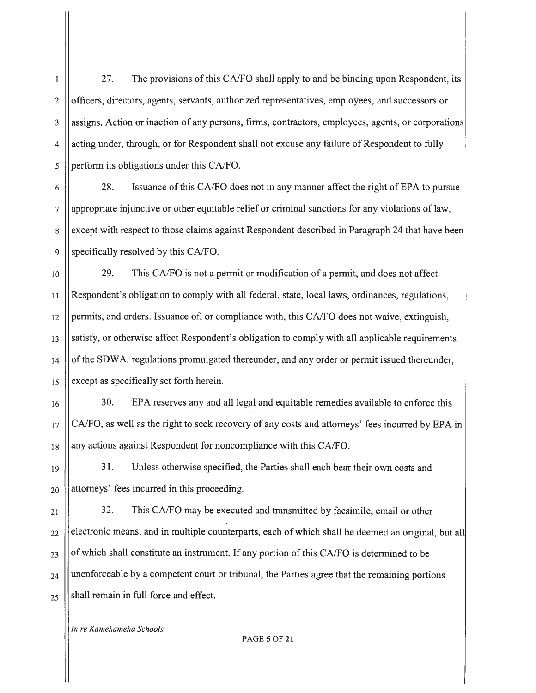27. The provisions of this CA/FO shall apply to and be binding upon Respondent, its  $\mathbf{1}$ 2 | officers, directors, agents, servants, authorized representatives, employees, and successors or 3 Assigns. Action or inaction of any persons, firms, contractors, employees, agents, or corporations  $4 \vert$  acting under, through, or for Respondent shall not excuse any failure of Respondent to fully  $\frac{1}{2}$  perform its obligations under this CA/FO.

<sup>6</sup>28. Issuance of this CA/FO does not in any manner affect the right of EPA to pursue 7 appropriate injunctive or other equitable relief or criminal sanctions for any violations of law, 8 except with respect to those claims against Respondent described in Paragraph 24 that have been 9 Specifically resolved by this CA/FO.

10 | 29. This CA/FO is not a permit or modification of a permit, and does not affect 11 Respondent's obligation to comply with all federal, state, local laws, ordinances, regulations,  $12$  | permits, and orders. Issuance of, or compliance with, this CA/FO does not waive, extinguish, 13 satisfy, or otherwise affect Respondent's obligation to comply with all applicable requirements  $14$  of the SDWA, regulations promulgated thereunder, and any order or permit issued thereunder,  $15$  except as specifically set forth herein.

16 | 30. EPA reserves any and all legal and equitable remedies available to enforce this  $17$  CA/FO, as well as the right to seek recovery of any costs and attorneys' fees incurred by EPA in  $18$  | any actions against Respondent for noncompliance with this CA/FO.

19 20 31. Unless otherwise specified, the Parties shall each bear their own costs and attorneys' fees incurred in this proceeding.

21 22 23 24 25 32. This CA/FO may be executed and transmitted by facsimile, email or other electronic means, and in multiple counterparts, each of which shall be deemed an original, but all of which shall constitute an instrument. If any portion of this CA/FO is determined to be unenforceable by a competent court or tribunal, the Parties agree that the remaining portions shall remain in full force and effect.

*In re Kamehameha Schools*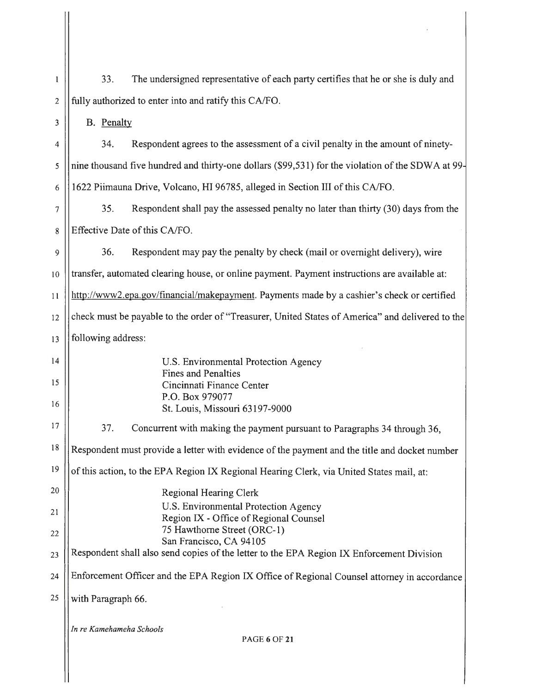| $\mathbf{1}$   | The undersigned representative of each party certifies that he or she is duly and<br>33.          |  |
|----------------|---------------------------------------------------------------------------------------------------|--|
| $\overline{2}$ | fully authorized to enter into and ratify this CA/FO.                                             |  |
| 3              | B. Penalty                                                                                        |  |
| 4              | Respondent agrees to the assessment of a civil penalty in the amount of ninety-<br>34.            |  |
| 5              | nine thousand five hundred and thirty-one dollars (\$99,531) for the violation of the SDWA at 99- |  |
| 6              | 1622 Piimauna Drive, Volcano, HI 96785, alleged in Section III of this CA/FO.                     |  |
| 7              | 35.<br>Respondent shall pay the assessed penalty no later than thirty (30) days from the          |  |
| 8              | Effective Date of this CA/FO.                                                                     |  |
| 9              | 36.<br>Respondent may pay the penalty by check (mail or overnight delivery), wire                 |  |
| 10             | transfer, automated clearing house, or online payment. Payment instructions are available at:     |  |
| 11             | http://www2.epa.gov/financial/makepayment. Payments made by a cashier's check or certified        |  |
| 12             | check must be payable to the order of "Treasurer, United States of America" and delivered to the  |  |
| 13             | following address:                                                                                |  |
| 14             | U.S. Environmental Protection Agency                                                              |  |
| 15             | <b>Fines and Penalties</b><br>Cincinnati Finance Center                                           |  |
| 16             | P.O. Box 979077<br>St. Louis, Missouri 63197-9000                                                 |  |
| 17             | 37.<br>Concurrent with making the payment pursuant to Paragraphs 34 through 36,                   |  |
| 18             | Respondent must provide a letter with evidence of the payment and the title and docket number     |  |
| 19             | of this action, to the EPA Region IX Regional Hearing Clerk, via United States mail, at:          |  |
| 20             | <b>Regional Hearing Clerk</b>                                                                     |  |
| 21             | U.S. Environmental Protection Agency<br>Region IX - Office of Regional Counsel                    |  |
| 22             | 75 Hawthorne Street (ORC-1)<br>San Francisco, CA 94105                                            |  |
| 23             | Respondent shall also send copies of the letter to the EPA Region IX Enforcement Division         |  |
| 24             | Enforcement Officer and the EPA Region IX Office of Regional Counsel attorney in accordance       |  |
| 25             | with Paragraph 66.                                                                                |  |
|                | In re Kamehameha Schools<br><b>PAGE 6 OF 21</b>                                                   |  |
|                |                                                                                                   |  |

 $\alpha_{\rm{max}}$ 

 $\overline{\mathbf{H}}$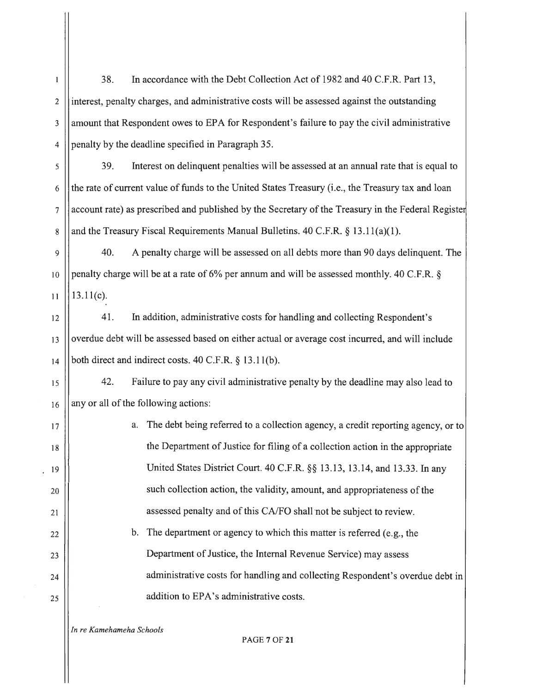38. In accordance with the Debt Collection Act of 1982 and 40 C.F.R. Part 13,  $\mathbf{1}$  $2$  ||interest, penalty charges, and administrative costs will be assessed against the outstanding 3 amount that Respondent owes to EPA for Respondent's failure to pay the civil administrative  $4$  | penalty by the deadline specified in Paragraph 35. 5 39. Interest on delinquent penalties will be assessed at an annual rate that is equal to  $6$  || the rate of current value of funds to the United States Treasury (i.e., the Treasury tax and loan 7 account rate) as prescribed and published by the Secretary of the Treasury in the Federal Registe 8 and the Treasury Fiscal Requirements Manual Bulletins. 40 C.F.R. § 13.11(a)(1). 9 40. A penalty charge will be assessed on all debts more than 90 days delinquent. The 10 | penalty charge will be at a rate of 6% per annum and will be assessed monthly. 40 C.F.R. §  $11$  | 13.11(c). 12 41. In addition, administrative costs for handling and collecting Respondent's  $13$  ||overdue debt will be assessed based on either actual or average cost incurred, and will include  $14$  ||both direct and indirect costs. 40 C.F.R. § 13.11(b). <sup>15</sup>42. Failure to pay any civil administrative penalty by the deadline may also lead to  $16$  || any or all of the following actions: 17 | a. The debt being referred to a collection agency, a credit reporting agency, or to 18 || the Department of Justice for filing of a collection action in the appropriate 19 United States District Court. 40 C.F.R. §§ 13.13, 13.14, and 13.33. In any 20 | such collection action, the validity, amount, and appropriateness of the  $|21|$  assessed penalty and of this CA/FO shall not be subject to review.  $22$  || b. The department or agency to which this matter is referred (e.g., the 23 | Department of Justice, the Internal Revenue Service) may assess 24 | administrative costs for handling and collecting Respondent's overdue debt in  $25$  || addition to EPA's administrative costs. *In re Kamehameha Schools* 

PAGE 7 OF **21**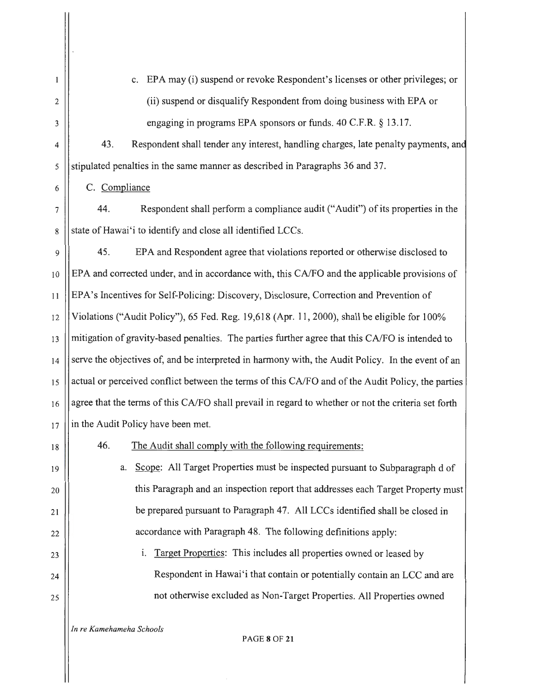| 1            | c. EPA may (i) suspend or revoke Respondent's licenses or other privileges; or                      |
|--------------|-----------------------------------------------------------------------------------------------------|
| $\mathbf{2}$ | (ii) suspend or disqualify Respondent from doing business with EPA or                               |
| 3            | engaging in programs EPA sponsors or funds. 40 C.F.R. § 13.17.                                      |
| 4            | Respondent shall tender any interest, handling charges, late penalty payments, and<br>43.           |
| 5            | stipulated penalties in the same manner as described in Paragraphs 36 and 37.                       |
| 6            | C. Compliance                                                                                       |
| 7            | Respondent shall perform a compliance audit ("Audit") of its properties in the<br>44.               |
| 8            | state of Hawai'i to identify and close all identified LCCs.                                         |
| 9            | EPA and Respondent agree that violations reported or otherwise disclosed to<br>45.                  |
| 10           | EPA and corrected under, and in accordance with, this CA/FO and the applicable provisions of        |
| 11           | EPA's Incentives for Self-Policing: Discovery, Disclosure, Correction and Prevention of             |
| 12           | Violations ("Audit Policy"), 65 Fed. Reg. 19,618 (Apr. 11, 2000), shall be eligible for 100%        |
| 13           | mitigation of gravity-based penalties. The parties further agree that this CA/FO is intended to     |
| 14           | serve the objectives of, and be interpreted in harmony with, the Audit Policy. In the event of an   |
| 15           | actual or perceived conflict between the terms of this CA/FO and of the Audit Policy, the parties   |
| 16           | agree that the terms of this CA/FO shall prevail in regard to whether or not the criteria set forth |
| 17           | in the Audit Policy have been met.                                                                  |
| 18           | 46.<br>The Audit shall comply with the following requirements:                                      |
| 19           | Scope: All Target Properties must be inspected pursuant to Subparagraph d of<br>a.                  |
| 20           | this Paragraph and an inspection report that addresses each Target Property must                    |
| 21           | be prepared pursuant to Paragraph 47. All LCCs identified shall be closed in                        |
| 22           | accordance with Paragraph 48. The following definitions apply:                                      |
| 23           | Target Properties: This includes all properties owned or leased by<br>i.                            |
| 24           | Respondent in Hawai'i that contain or potentially contain an LCC and are                            |
| 25           | not otherwise excluded as Non-Target Properties. All Properties owned                               |
|              |                                                                                                     |

*In re Kamehameha Schools* 

PAGE **8** OF **21** 

 $\hat{\mathcal{A}}$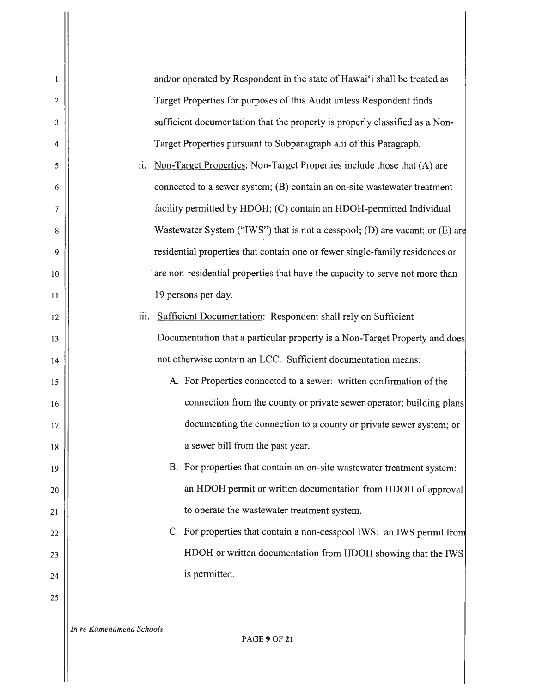$\mathbf{1}$ and/or operated by Respondent in the state of Hawai'i shall be treated as Target Properties for purposes of this Audit unless Respondent finds 2 sufficient documentation that the property is properly classified as a Non-3 4 Target Properties pursuant to Subparagraph a.ii of this Paragraph.  $11.$  Non-Target Properties: Non-Target Properties include those that  $(A)$  are 5 connected to a sewer system; (B) contain an on-site wastewater treatment 6 facility permitted by HDOH; (C) contain an HDOH-permitted Individual 7 8 Wastewater System ("IWS") that is not a cesspool; (D) are vacant; or (E) are 9 residential properties that contain one or fewer single-family residences or 10 are non-residential properties that have the capacity to serve not more than 19 persons per day. 11 iii. Sufficient Documentation: Respondent shall rely on Sufficient 12 Documentation that a particular property is a Non-Target Property and does 13 not otherwise contain an LCC. Sufficient documentation means: 14 A. For Properties connected to a sewer: written confirmation of the 15 connection from the county or private sewer operator; building plans 16 documenting the connection to a county or private sewer system; or 17 a sewer bill from the past year. 18 B. For properties that contain an on-site wastewater treatment system: 19 an HDOH permit or written documentation from HDOH of approval 20 to operate the wastewater treatment system. 21 C. For properties that contain a non-cesspool IWS: an IWS permit fro 22 HDOH or written documentation from HDOH showing that the IWS 23 is permitted. 24 25 *In re Kamehameha Schools*  PAGE9 OF **21**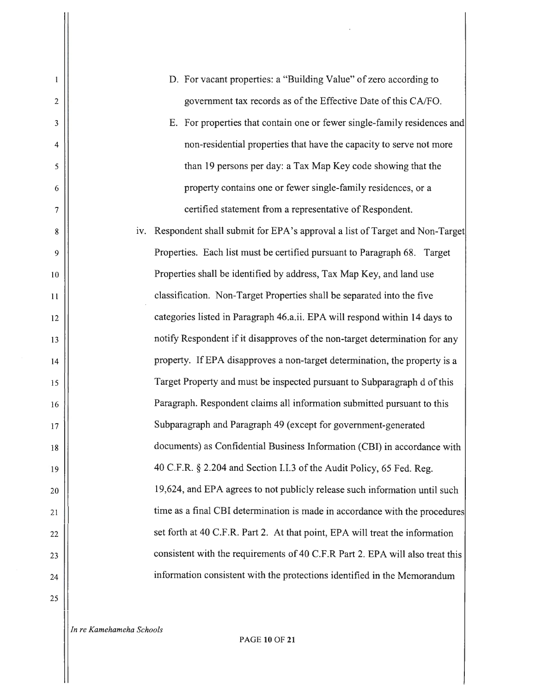- D. For vacant properties: a "Building Value" of zero according to government tax records as of the Effective Date of this CA/FO.
- E. For properties that contain one or fewer single-family residences and non-residential properties that have the capacity to serve not more than 19 persons per day: a Tax Map Key code showing that the property contains one or fewer single-family residences, or a certified statement from a representative of Respondent.

iv. Respondent shall submit for EPA's approval a list of Target and Non-Target Properties. Each list must be certified pursuant to Paragraph 68. Target Properties shall be identified by address, Tax Map Key, and land use classification. Non-Target Properties shall be separated into the five categories listed in Paragraph 46.a.ii. EPA will respond within 14 days to notify Respondent if it disapproves of the non-target determination for any property. If EPA disapproves a non-target determination, the property is a Target Property and must be inspected pursuant to Subparagraph d of this Paragraph. Respondent claims all information submitted pursuant to this Subparagraph and Paragraph 49 (except for government-generated documents) as Confidential Business Information (CBI) in accordance with 40 C.F.R. § 2.204 and Section I.I.3 of the Audit Policy, 65 Fed. Reg. 19,624, and EPA agrees to not publicly release such information until such time as a final CBI determination is made in accordance with the procedures set forth at 40 C.F.R. Part 2. At that point, EPA will treat the information consistent with the requirements of 40 C.F.R Part 2. EPA will also treat this information consistent with the protections identified in the Memorandum

25

2

 $\mathbf{1}$ 

3

4

5

6

7

8

9

10

11

12

13

14

15

16

17

18

19

20

21

22

23

24

*In re Kamehameha Schools* 

PAGE **10** OF **21**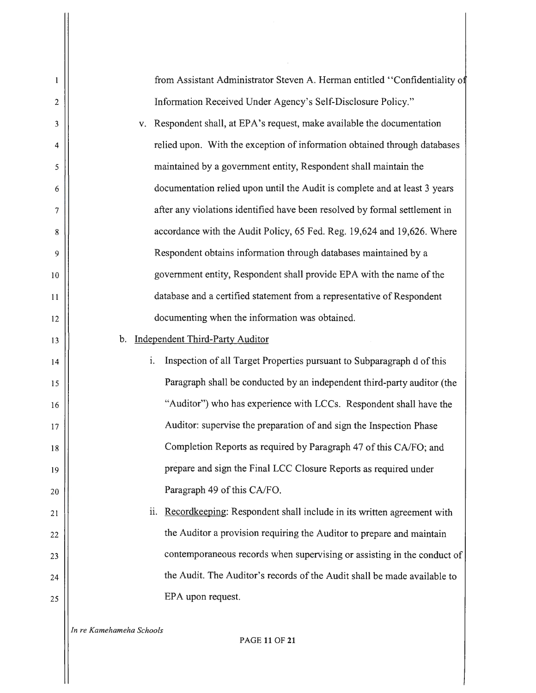| from Assistant Administrator Steven A. Herman entitled "Confidentiality of          |
|-------------------------------------------------------------------------------------|
| Information Received Under Agency's Self-Disclosure Policy."                        |
| Respondent shall, at EPA's request, make available the documentation<br>$V_{\rm A}$ |
| relied upon. With the exception of information obtained through databases           |
| maintained by a government entity, Respondent shall maintain the                    |
| documentation relied upon until the Audit is complete and at least 3 years          |
| after any violations identified have been resolved by formal settlement in          |
| accordance with the Audit Policy, 65 Fed. Reg. 19,624 and 19,626. Where             |
| Respondent obtains information through databases maintained by a                    |
| government entity, Respondent shall provide EPA with the name of the                |
| database and a certified statement from a representative of Respondent              |
| documenting when the information was obtained.                                      |
| b. Independent Third-Party Auditor                                                  |
| Inspection of all Target Properties pursuant to Subparagraph d of this<br>i.        |
| Paragraph shall be conducted by an independent third-party auditor (the             |
| "Auditor") who has experience with LCCs. Respondent shall have the                  |
| Auditor: supervise the preparation of and sign the Inspection Phase                 |
| Completion Reports as required by Paragraph 47 of this CA/FO; and                   |
|                                                                                     |

prepare and sign the Final LCC Closure Reports as required under Paragraph 49 of this CA/FO.

ii. Recordkeeping: Respondent shall include in its written agreement with the Auditor a provision requiring the Auditor to prepare and maintain contemporaneous records when supervising or assisting in the conduct of the Audit. The Auditor's records of the Audit shall be made available to EPA upon request.

*In re Kamehameha Schools* 

2

 $\mathbf{1}$ 

3

4

5

6

7

8

9

10

11

12

13

14

15

16

17

18

19

20

21

22

23

24

25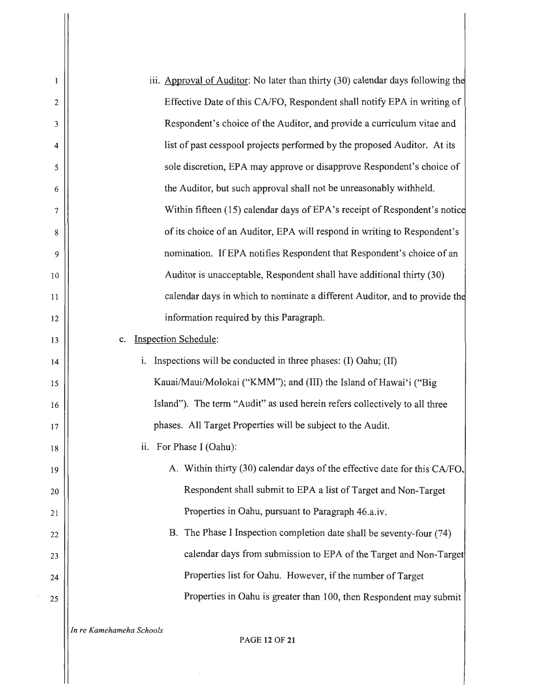| 1                | iii. Approval of Auditor: No later than thirty (30) calendar days following the |
|------------------|---------------------------------------------------------------------------------|
| 2                | Effective Date of this CA/FO, Respondent shall notify EPA in writing of         |
| 3                | Respondent's choice of the Auditor, and provide a curriculum vitae and          |
| 4                | list of past cesspool projects performed by the proposed Auditor. At its        |
| 5                | sole discretion, EPA may approve or disapprove Respondent's choice of           |
| 6                | the Auditor, but such approval shall not be unreasonably withheld.              |
| $\boldsymbol{7}$ | Within fifteen (15) calendar days of EPA's receipt of Respondent's notice       |
| 8                | of its choice of an Auditor, EPA will respond in writing to Respondent's        |
| 9                | nomination. If EPA notifies Respondent that Respondent's choice of an           |
| 10               | Auditor is unacceptable, Respondent shall have additional thirty (30)           |
| 11               | calendar days in which to nominate a different Auditor, and to provide the      |
| 12               | information required by this Paragraph.                                         |
| 13               | <b>Inspection Schedule:</b><br>$\mathbf{c}$ .                                   |
| 14               | Inspections will be conducted in three phases: (I) Oahu; (II)<br>i.             |
| 15               | Kauai/Maui/Molokai ("KMM"); and (III) the Island of Hawai'i ("Big               |
| 16               | Island"). The term "Audit" as used herein refers collectively to all three      |
| 17               | phases. All Target Properties will be subject to the Audit.                     |
| 18               | ii. For Phase I (Oahu):                                                         |
| 19               | A. Within thirty (30) calendar days of the effective date for this CA/FO,       |
| 20               | Respondent shall submit to EPA a list of Target and Non-Target                  |
| 21               | Properties in Oahu, pursuant to Paragraph 46.a.iv.                              |
| 22               | B. The Phase I Inspection completion date shall be seventy-four (74)            |
| 23               | calendar days from submission to EPA of the Target and Non-Target               |
| 24               | Properties list for Oahu. However, if the number of Target                      |
| 25               | Properties in Oahu is greater than 100, then Respondent may submit              |
|                  | In re Kamehameha Schools<br><b>PAGE 12 OF 21</b>                                |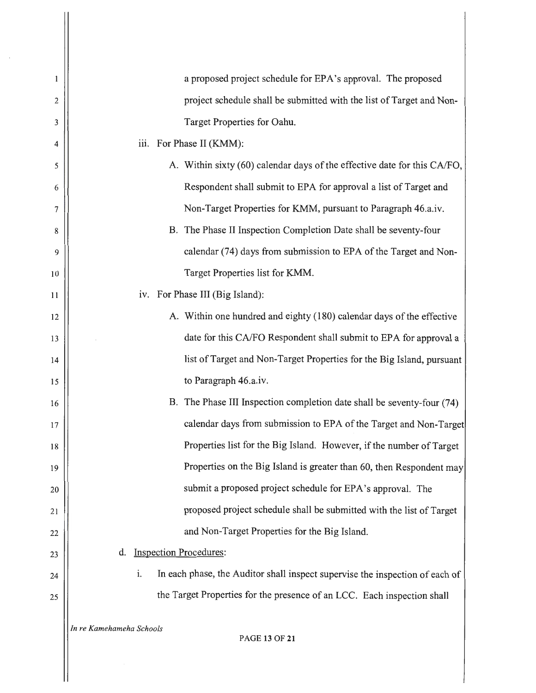| 1  | a proposed project schedule for EPA's approval. The proposed                       |
|----|------------------------------------------------------------------------------------|
| 2  | project schedule shall be submitted with the list of Target and Non-               |
| 3  | Target Properties for Oahu.                                                        |
| 4  | iii. For Phase II (KMM):                                                           |
| 5  | A. Within sixty (60) calendar days of the effective date for this CA/FO,           |
| 6  | Respondent shall submit to EPA for approval a list of Target and                   |
| 7  | Non-Target Properties for KMM, pursuant to Paragraph 46.a.iv.                      |
| 8  | B. The Phase II Inspection Completion Date shall be seventy-four                   |
| 9  | calendar (74) days from submission to EPA of the Target and Non-                   |
| 10 | Target Properties list for KMM.                                                    |
| 11 | iv. For Phase III (Big Island):                                                    |
| 12 | A. Within one hundred and eighty (180) calendar days of the effective              |
| 13 | date for this CA/FO Respondent shall submit to EPA for approval a                  |
| 14 | list of Target and Non-Target Properties for the Big Island, pursuant              |
| 15 | to Paragraph 46.a.iv.                                                              |
| 16 | B. The Phase III Inspection completion date shall be seventy-four (74)             |
| 17 | calendar days from submission to EPA of the Target and Non-Target                  |
| 18 | Properties list for the Big Island. However, if the number of Target               |
| 19 | Properties on the Big Island is greater than 60, then Respondent may               |
| 20 | submit a proposed project schedule for EPA's approval. The                         |
| 21 | proposed project schedule shall be submitted with the list of Target               |
| 22 | and Non-Target Properties for the Big Island.                                      |
| 23 | <b>Inspection Procedures:</b><br>d.                                                |
| 24 | i.<br>In each phase, the Auditor shall inspect supervise the inspection of each of |
| 25 | the Target Properties for the presence of an LCC. Each inspection shall            |
|    | In re Kamehameha Schools<br><b>PAGE 13 OF 21</b>                                   |
|    |                                                                                    |

 $\frac{1}{2}$ 

 $\begin{array}{c} \begin{array}{c} \begin{array}{c} \begin{array}{c} \end{array} \end{array} \\ \begin{array}{c} \end{array} \end{array} \end{array} \end{array}$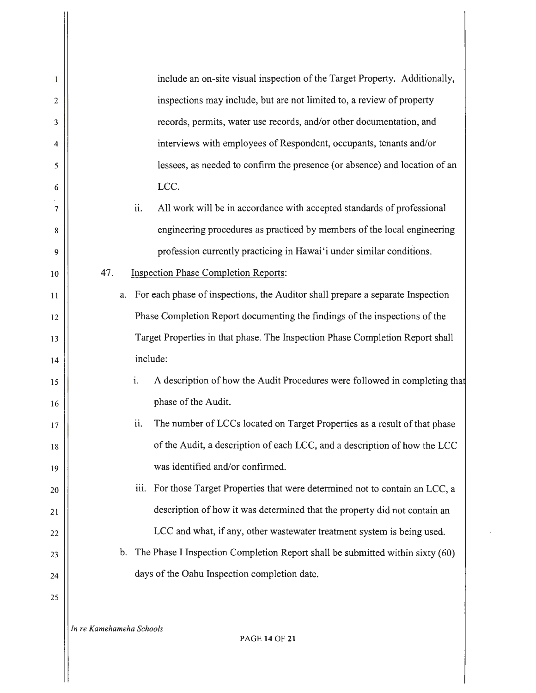| $\mathbf{1}$ | include an on-site visual inspection of the Target Property. Additionally,                      |
|--------------|-------------------------------------------------------------------------------------------------|
| 2            | inspections may include, but are not limited to, a review of property                           |
| 3            | records, permits, water use records, and/or other documentation, and                            |
| 4            | interviews with employees of Respondent, occupants, tenants and/or                              |
| 5            | lessees, as needed to confirm the presence (or absence) and location of an                      |
| 6            | LCC.                                                                                            |
| 7            | All work will be in accordance with accepted standards of professional<br>ii.                   |
| 8            | engineering procedures as practiced by members of the local engineering                         |
| 9            | profession currently practicing in Hawai'i under similar conditions.                            |
| 10           | 47.<br><b>Inspection Phase Completion Reports:</b>                                              |
| 11           | For each phase of inspections, the Auditor shall prepare a separate Inspection<br>a.            |
| 12           | Phase Completion Report documenting the findings of the inspections of the                      |
| 13           | Target Properties in that phase. The Inspection Phase Completion Report shall                   |
| 14           | include:                                                                                        |
| 15           | i.<br>A description of how the Audit Procedures were followed in completing that                |
| 16           | phase of the Audit.                                                                             |
| 17           | ii.<br>The number of LCCs located on Target Properties as a result of that phase                |
| 18           | of the Audit, a description of each LCC, and a description of how the LCC                       |
| 19           | was identified and/or confirmed.                                                                |
| 20           | iii.<br>For those Target Properties that were determined not to contain an LCC, a               |
| 21           | description of how it was determined that the property did not contain an                       |
| 22           | LCC and what, if any, other wastewater treatment system is being used.                          |
| 23           | The Phase I Inspection Completion Report shall be submitted within sixty (60)<br>$\mathbf{b}$ . |
| 24           | days of the Oahu Inspection completion date.                                                    |
| 25           |                                                                                                 |
|              | In re Kamehameha Schools                                                                        |

PAGE **14** OF **21**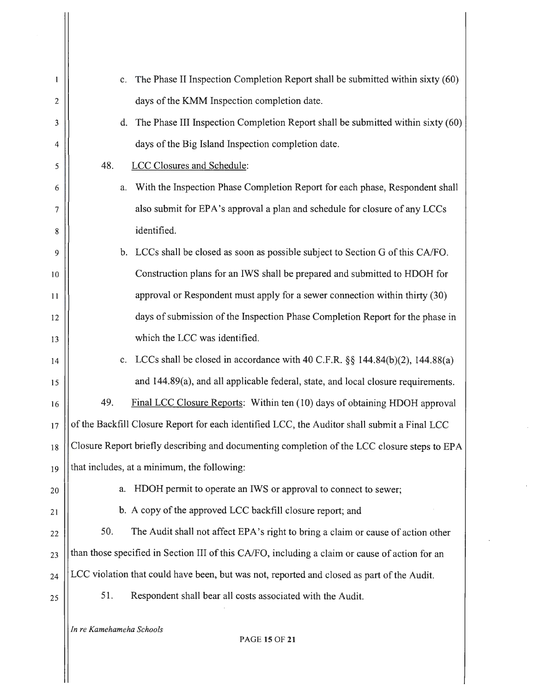| 1  |                          | The Phase II Inspection Completion Report shall be submitted within sixty (60)<br>$c_{\cdot}$     |
|----|--------------------------|---------------------------------------------------------------------------------------------------|
| 2  |                          | days of the KMM Inspection completion date.                                                       |
| 3  |                          | The Phase III Inspection Completion Report shall be submitted within sixty (60)<br>$\mathbf{d}$ . |
| 4  |                          | days of the Big Island Inspection completion date.                                                |
| 5  | 48.                      | LCC Closures and Schedule:                                                                        |
| 6  | a.                       | With the Inspection Phase Completion Report for each phase, Respondent shall                      |
| 7  |                          | also submit for EPA's approval a plan and schedule for closure of any LCCs                        |
| 8  |                          | identified.                                                                                       |
| 9  |                          | b. LCCs shall be closed as soon as possible subject to Section G of this CA/FO.                   |
| 10 |                          | Construction plans for an IWS shall be prepared and submitted to HDOH for                         |
| 11 |                          | approval or Respondent must apply for a sewer connection within thirty (30)                       |
| 12 |                          | days of submission of the Inspection Phase Completion Report for the phase in                     |
| 13 |                          | which the LCC was identified.                                                                     |
| 14 |                          | LCCs shall be closed in accordance with 40 C.F.R. §§ 144.84(b)(2), 144.88(a)<br>$c_{\cdot}$       |
| 15 |                          | and 144.89(a), and all applicable federal, state, and local closure requirements.                 |
| 16 | 49.                      | Final LCC Closure Reports: Within ten (10) days of obtaining HDOH approval                        |
| 17 |                          | of the Backfill Closure Report for each identified LCC, the Auditor shall submit a Final LCC      |
| 18 |                          | Closure Report briefly describing and documenting completion of the LCC closure steps to EPA      |
| 19 |                          | that includes, at a minimum, the following:                                                       |
| 20 | a.                       | HDOH permit to operate an IWS or approval to connect to sewer;                                    |
| 21 |                          | b. A copy of the approved LCC backfill closure report; and                                        |
| 22 | 50.                      | The Audit shall not affect EPA's right to bring a claim or cause of action other                  |
| 23 |                          | than those specified in Section III of this CA/FO, including a claim or cause of action for an    |
| 24 |                          | LCC violation that could have been, but was not, reported and closed as part of the Audit.        |
| 25 | 51.                      | Respondent shall bear all costs associated with the Audit.                                        |
|    | In re Kamehameha Schools | <b>PAGE 15 OF 21</b>                                                                              |

 $\bar{\gamma}$ 

 $\hat{\mathbf{v}}$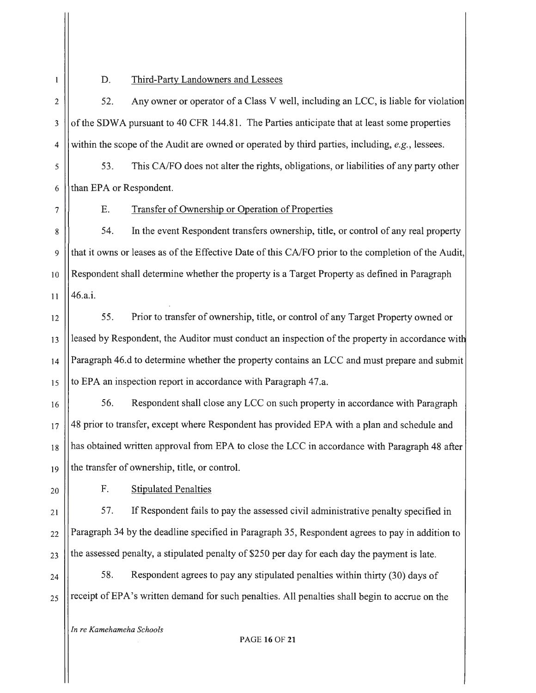$\mathbf{1}$ 

## D. Third-Party Landowners and Lessees

2 | 52. Any owner or operator of a Class V well, including an LCC, is liable for violation 3 | of the SDWA pursuant to 40 CFR 144.81. The Parties anticipate that at least some properties 4 within the scope of the Audit are owned or operated by third parties, including, *e.g.,* lessees.

5 53. This CA/FO does not alter the rights, obligations, or liabilities of any party other 6 | than EPA or Respondent.

7

E.

## Transfer of Ownership or Operation of Properties

8 54. In the event Respondent transfers ownership, title, or control of any real property 9 (that it owns or leases as of the Effective Date of this CA/FO prior to the completion of the Audit, 10 Respondent shall determine whether the property is a Target Property as defined in Paragraph 11  $|146. a.i.$ 

12 | 55. Prior to transfer of ownership, title, or control of any Target Property owned or 13 | leased by Respondent, the Auditor must conduct an inspection of the property in accordance with 14 Paragraph 46.d to determine whether the property contains an LCC and must prepare and submit  $15$  ||to EPA an inspection report in accordance with Paragraph 47.a.

16 || 56. Respondent shall close any LCC on such property in accordance with Paragraph 17 48 prior to transfer, except where Respondent has provided EPA with a plan and schedule and 18 has obtained written approval from EPA to close the LCC in accordance with Paragraph 48 after  $19$  || the transfer of ownership, title, or control.

20 | F. Stipulated Penalties

 $_{21}$  |  $\vert$  57. If Respondent fails to pay the assessed civil administrative penalty specified in  $_{22}$  ||Paragraph 34 by the deadline specified in Paragraph 35, Respondent agrees to pay in addition to  $_{23}$  ||the assessed penalty, a stipulated penalty of \$250 per day for each day the payment is late.

 $_{24}$  |  $\vert$  58. Respondent agrees to pay any stipulated penalties within thirty (30) days of  $_{25}$  ||receipt of EPA's written demand for such penalties. All penalties shall begin to accrue on the

*In re Kamehameha Schools*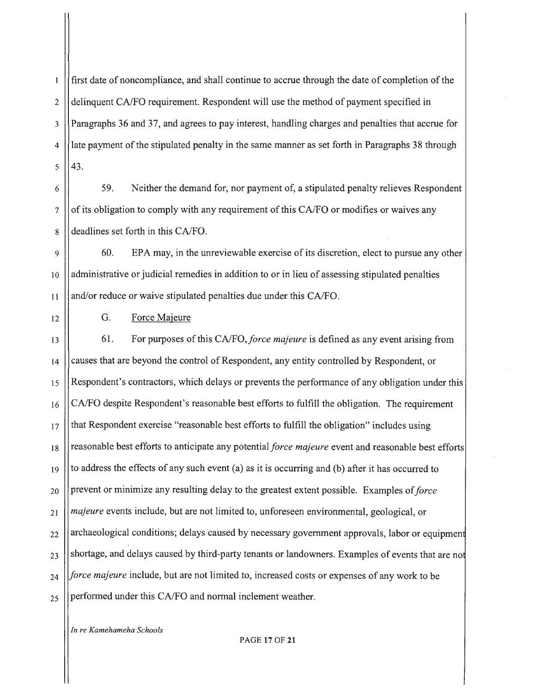first date of noncompliance, and shall continue to accrue through the date of completion of the  $\mathbf{1}$ 2 delinquent CA/FO requirement. Respondent will use the method of payment specified in 3 Paragraphs 36 and 37, and agrees to pay interest, handling charges and penalties that accrue for 4. The payment of the stipulated penalty in the same manner as set forth in Paragraphs 38 through  $5 \parallel 43.$ 

6 59. Neither the demand for, nor payment of, a stipulated penalty relieves Respondent  $7 \vert$  of its obligation to comply with any requirement of this CA/FO or modifies or waives any 8 deadlines set forth in this CA/FO.

<sup>9</sup>60. EPA may, in the unreviewable exercise of its discretion, elect to pursue any other 10 | administrative or judicial remedies in addition to or in lieu of assessing stipulated penalties 11 and/or reduce or waive stipulated penalties due under this CA/FO.

12 | G. Force Majeure

13 61 . For purposes of this *CAIFO,force majeure* is defined as any event arising from  $_{14}$  | causes that are beyond the control of Respondent, any entity controlled by Respondent, or 15 Respondent's contractors, which delays or prevents the performance of any obligation under this  $_{16}$  | CA/FO despite Respondent's reasonable best efforts to fulfill the obligation. The requirement  $17$   $\parallel$  that Respondent exercise "reasonable best efforts to fulfill the obligation" includes using 18 reasonable best efforts to anticipate any potentialforce *majeure* event and reasonable best efforts  $19$  to address the effects of any such event (a) as it is occurring and (b) after it has occurred to 20 **prevent or minimize any resulting delay to the greatest extent possible.** Examples of *force* 21 *majeure* events include, but are not limited to, unforeseen environmental, geological, or  $_{22}$  || archaeological conditions; delays caused by necessary government approvals, labor or equipment  $_{23}$  ||shortage, and delays caused by third-party tenants or landowners. Examples of events that are not 24 *force majeure* include, but are not limited to, increased costs or expenses of any work to be  $_{25}$  ||performed under this CA/FO and normal inclement weather.

*In re Kamehameha Schools* 

PAGE **17** OF **21**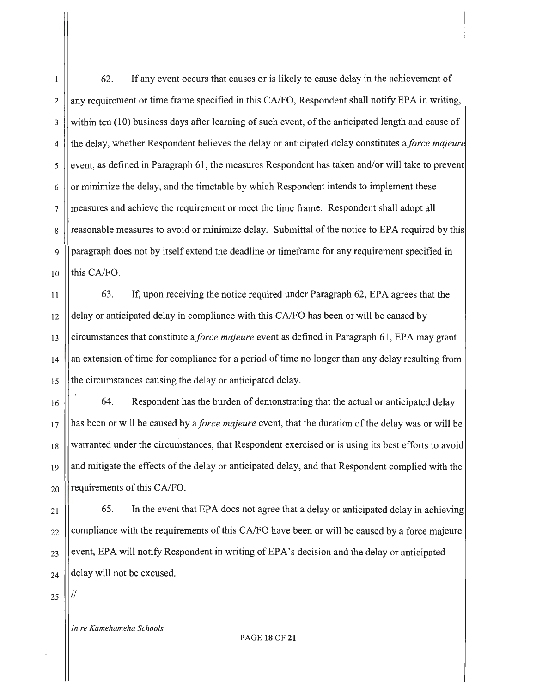1 62. If any event occurs that causes or is likely to cause delay in the achievement of  $2 \parallel$ any requirement or time frame specified in this CA/FO, Respondent shall notify EPA in writing, 3 within ten (10) business days after learning of such event, of the anticipated length and cause of 4 the delay, whether Respondent believes the delay or anticipated delay constitutes a *force majeur*   $\frac{1}{5}$  event, as defined in Paragraph 61, the measures Respondent has taken and/or will take to prevent  $6 \mid$  or minimize the delay, and the timetable by which Respondent intends to implement these 7 measures and achieve the requirement or meet the time frame . Respondent shall adopt all 8 || reasonable measures to avoid or minimize delay. Submittal of the notice to EPA required by this 9 | | paragraph does not by itself extend the deadline or timeframe for any requirement specified in  $10$  lthis CA/FO.

 $\vert$ 11  $\vert$  63. If, upon receiving the notice required under Paragraph 62, EPA agrees that the  $12$  | delay or anticipated delay in compliance with this CA/FO has been or will be caused by 13 circumstances that constitute *aforce majeure* event as defined in Paragraph 61, EPA may grant  $_{14}$   $\parallel$  an extension of time for compliance for a period of time no longer than any delay resulting from  $_{15}$  || the circumstances causing the delay or anticipated delay.

16 **64.** Respondent has the burden of demonstrating that the actual or anticipated delay 17 has been or will be caused by *aforce majeure* event, that the duration of the delay was or will be  $_{18}$  || warranted under the circumstances, that Respondent exercised or is using its best efforts to avoid 19 || and mitigate the effects of the delay or anticipated delay, and that Respondent complied with the  $_{20}$  | requirements of this CA/FO.

21 22 23 24 65. In the event that EPA does not agree that a delay or anticipated delay in achieving compliance with the requirements of this CA/FO have been or will be caused by a force majeure event, EPA will notify Respondent in writing of EPA's decision and the delay or anticipated delay will not be excused.

25

II

*In re Kamehameha Schools*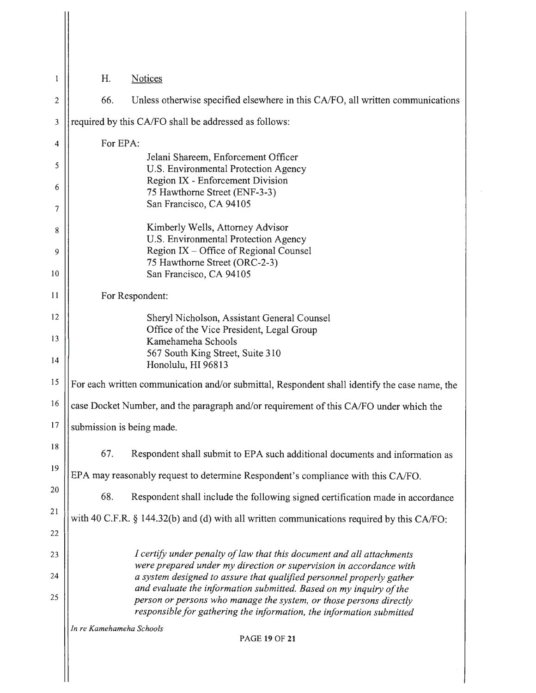| 1              | H.                       | <b>Notices</b>                                                                                                                              |
|----------------|--------------------------|---------------------------------------------------------------------------------------------------------------------------------------------|
| $\overline{c}$ | 66.                      | Unless otherwise specified elsewhere in this CA/FO, all written communications                                                              |
| 3              |                          | required by this CA/FO shall be addressed as follows:                                                                                       |
| 4              | For EPA:                 |                                                                                                                                             |
| 5              |                          | Jelani Shareem, Enforcement Officer<br>U.S. Environmental Protection Agency                                                                 |
| 6<br>7         |                          | Region IX - Enforcement Division<br>75 Hawthorne Street (ENF-3-3)<br>San Francisco, CA 94105                                                |
| 8              |                          | Kimberly Wells, Attorney Advisor                                                                                                            |
| 9              |                          | U.S. Environmental Protection Agency<br>Region IX - Office of Regional Counsel                                                              |
| 10             |                          | 75 Hawthorne Street (ORC-2-3)<br>San Francisco, CA 94105                                                                                    |
| 11             |                          | For Respondent:                                                                                                                             |
| 12             |                          | Sheryl Nicholson, Assistant General Counsel                                                                                                 |
| 13<br>14       |                          | Office of the Vice President, Legal Group<br>Kamehameha Schools<br>567 South King Street, Suite 310<br>Honolulu, HI 96813                   |
| 15             |                          | For each written communication and/or submittal, Respondent shall identify the case name, the                                               |
| 16             |                          | case Docket Number, and the paragraph and/or requirement of this CA/FO under which the                                                      |
| 17             |                          | submission is being made.                                                                                                                   |
| 18             | 67.                      | Respondent shall submit to EPA such additional documents and information as                                                                 |
| 19             |                          | EPA may reasonably request to determine Respondent's compliance with this CA/FO.                                                            |
| 20             | 68.                      | Respondent shall include the following signed certification made in accordance                                                              |
| 21             |                          | with 40 C.F.R. § 144.32(b) and (d) with all written communications required by this CA/FO:                                                  |
| 22             |                          |                                                                                                                                             |
| 23             |                          | I certify under penalty of law that this document and all attachments<br>were prepared under my direction or supervision in accordance with |
| 24             |                          | a system designed to assure that qualified personnel properly gather<br>and evaluate the information submitted. Based on my inquiry of the  |
| 25             |                          | person or persons who manage the system, or those persons directly<br>responsible for gathering the information, the information submitted  |
|                | In re Kamehameha Schools | <b>PAGE 19 OF 21</b>                                                                                                                        |
|                |                          |                                                                                                                                             |

 $\begin{array}{c} \hline \end{array}$ 

 $\sim$   $\sim$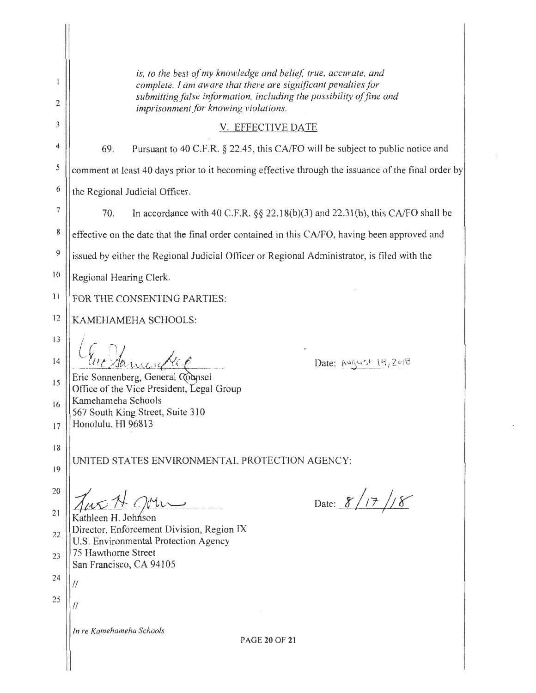| 2            | is, to the best of my knowledge and belief, true, accurate, and<br>complete. I am aware that there are significant penalties for<br>submitting false information, including the possibility of fine and<br>imprisonment for knowing violations. |  |
|--------------|-------------------------------------------------------------------------------------------------------------------------------------------------------------------------------------------------------------------------------------------------|--|
| 3            | V. EFFECTIVE DATE                                                                                                                                                                                                                               |  |
| 4            | 69.<br>Pursuant to 40 C.F.R. § 22.45, this CA/FO will be subject to public notice and                                                                                                                                                           |  |
| 5            | comment at least 40 days prior to it becoming effective through the issuance of the final order by                                                                                                                                              |  |
| 6            | the Regional Judicial Officer.                                                                                                                                                                                                                  |  |
| 7            | 70.<br>In accordance with 40 C.F.R. $\S\S 22.18(b)(3)$ and 22.31(b), this CA/FO shall be                                                                                                                                                        |  |
| 8            | effective on the date that the final order contained in this CA/FO, having been approved and                                                                                                                                                    |  |
| 9            | issued by either the Regional Judicial Officer or Regional Administrator, is filed with the                                                                                                                                                     |  |
| 10           | Regional Hearing Clerk.                                                                                                                                                                                                                         |  |
| $\mathbf{H}$ | FOR THE CONSENTING PARTIES:                                                                                                                                                                                                                     |  |
| 12           | KAMEHAMEHA SCHOOLS:                                                                                                                                                                                                                             |  |
| 3            | Date: August 14,2018<br>Eric Sonnenberg, General Counsel<br>Office of the Vice President, Legal Group                                                                                                                                           |  |
| 14           |                                                                                                                                                                                                                                                 |  |
| 15           |                                                                                                                                                                                                                                                 |  |
| 16           | Kamehameha Schools<br>567 South King Street, Suite 310                                                                                                                                                                                          |  |
| 17           | Honolulu, HI 96813                                                                                                                                                                                                                              |  |
| 18           |                                                                                                                                                                                                                                                 |  |
| 19           | UNITED STATES ENVIRONMENTAL PROTECTION AGENCY:                                                                                                                                                                                                  |  |
| 20           | Date: $8/17/8$<br>us A Oven                                                                                                                                                                                                                     |  |
| 21           | Kathleen H. Johnson                                                                                                                                                                                                                             |  |
| 22           | Director, Enforcement Division, Region IX<br>U.S. Environmental Protection Agency                                                                                                                                                               |  |
| 23           | 75 Hawthorne Street<br>San Francisco, CA 94105                                                                                                                                                                                                  |  |
| 24           |                                                                                                                                                                                                                                                 |  |
| 25           |                                                                                                                                                                                                                                                 |  |
|              |                                                                                                                                                                                                                                                 |  |
|              | In re Kamehameha Schools<br><b>PAGE 20 OF 21</b>                                                                                                                                                                                                |  |
|              |                                                                                                                                                                                                                                                 |  |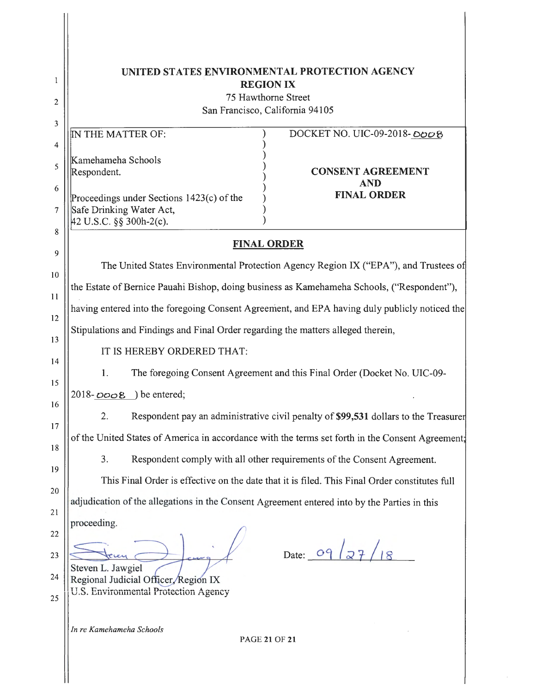| 1  | UNITED STATES ENVIRONMENTAL PROTECTION AGENCY<br><b>REGION IX</b>                                |
|----|--------------------------------------------------------------------------------------------------|
| 2  | 75 Hawthorne Street                                                                              |
|    | San Francisco, California 94105                                                                  |
| 3  | IN THE MATTER OF:<br>DOCKET NO. UIC-09-2018-0008                                                 |
| 4  |                                                                                                  |
| 5  | Kamehameha Schools                                                                               |
|    | Respondent.<br><b>CONSENT AGREEMENT</b><br><b>AND</b>                                            |
| 6  | <b>FINAL ORDER</b><br>Proceedings under Sections 1423(c) of the                                  |
| 7  | Safe Drinking Water Act,                                                                         |
| 8  | $42$ U.S.C. §§ 300h-2(c).                                                                        |
| 9  | <b>FINAL ORDER</b>                                                                               |
| 10 | The United States Environmental Protection Agency Region IX ("EPA"), and Trustees of             |
| 11 | the Estate of Bernice Pauahi Bishop, doing business as Kamehameha Schools, ("Respondent"),       |
| 12 | having entered into the foregoing Consent Agreement, and EPA having duly publicly noticed the    |
| 13 | Stipulations and Findings and Final Order regarding the matters alleged therein,                 |
| 14 | IT IS HEREBY ORDERED THAT:                                                                       |
| 15 | The foregoing Consent Agreement and this Final Order (Docket No. UIC-09-<br>1.                   |
| 16 | $2018 - DOOB$ ) be entered;                                                                      |
| 17 | 2.<br>Respondent pay an administrative civil penalty of \$99,531 dollars to the Treasurer        |
| 18 | of the United States of America in accordance with the terms set forth in the Consent Agreement: |
| 19 | 3.<br>Respondent comply with all other requirements of the Consent Agreement.                    |
| 20 | This Final Order is effective on the date that it is filed. This Final Order constitutes full    |
| 21 | adjudication of the allegations in the Consent Agreement entered into by the Parties in this     |
| 22 | proceeding.                                                                                      |
| 23 | Date: 09                                                                                         |
| 24 | Steven L. Jawgiel<br>Regional Judicial Officer Region IX                                         |
| 25 | U.S. Environmental Protection Agency                                                             |
|    | In re Kamehameha Schools<br><b>PAGE 21 OF 21</b>                                                 |

 $\parallel$